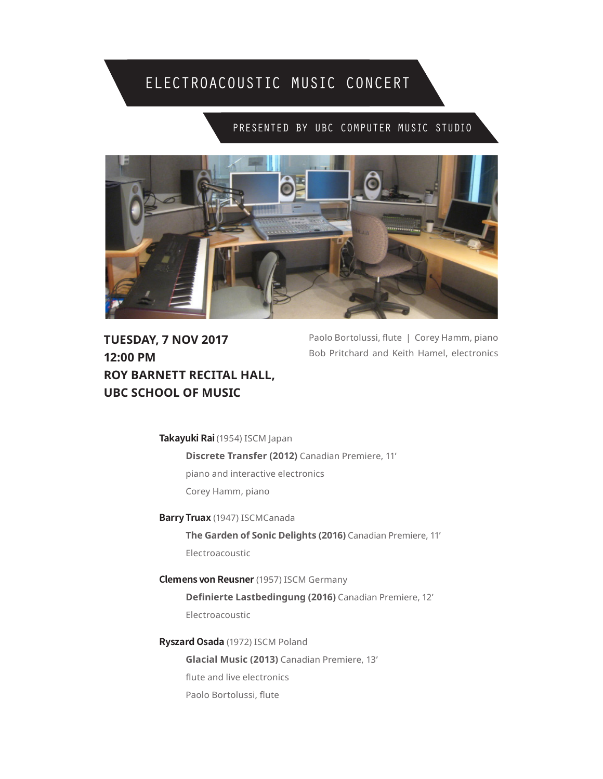## ELECTROACOUSTIC MUSIC CONCERT

## PRESENTED BY UBC COMPUTER MUSIC STUDIO



**TUESDAY, 7 NOV 2017 12:00 PM ROY BARNETT RECITAL HALL, UBC SCHOOL OF MUSIC**

Paolo Bortolussi, flute | Corey Hamm, piano Bob Pritchard and Keith Hamel, electronics

**Takayuki Rai** (1954) ISCM Japan

**Discrete Transfer (2012)** Canadian Premiere, 11' piano and interactive electronics Corey Hamm, piano

**Barry Truax** (1947) ISCMCanada **The Garden of Sonic Delights (2016)** Canadian Premiere, 11'

Electroacoustic

**Clemens von Reusner** (1957) ISCM Germany **Definierte Lastbedingung (2016)** Canadian Premiere, 12' Electroacoustic

**Ryszard Osada** (1972) ISCM Poland **Glacial Music (2013)** Canadian Premiere, 13' flute and live electronics Paolo Bortolussi, flute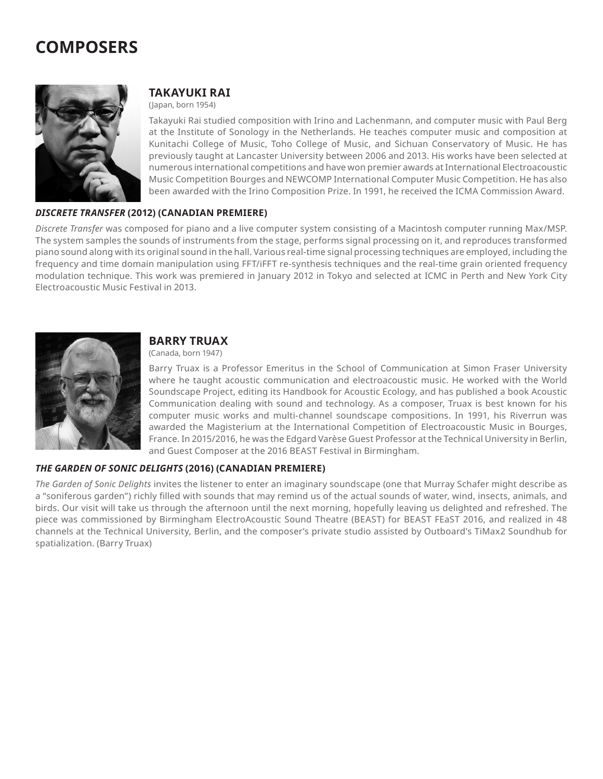# **COMPOSERS**



## **TAKAYUKI RAI**

(Japan, born 1954)

Takayuki Rai studied composition with Irino and Lachenmann, and computer music with Paul Berg at the Institute of Sonology in the Netherlands. He teaches computer music and composition at Kunitachi College of Music, Toho College of Music, and Sichuan Conservatory of Music. He has previously taught at Lancaster University between 2006 and 2013. His works have been selected at numerous international competitions and have won premier awards at International Electroacoustic Music Competition Bourges and NEWCOMP International Computer Music Competition. He has also been awarded with the Irino Composition Prize. In 1991, he received the ICMA Commission Award.

#### *DISCRETE TRANSFER* **(2012) (CANADIAN PREMIERE)**

*Discrete Transfer* was composed for piano and a live computer system consisting of a Macintosh computer running Max/MSP. The system samples the sounds of instruments from the stage, performs signal processing on it, and reproduces transformed piano sound along with its original sound in the hall. Various real-time signal processing techniques are employed, including the frequency and time domain manipulation using FFT/iFFT re-synthesis techniques and the real-time grain oriented frequency modulation technique. This work was premiered in January 2012 in Tokyo and selected at ICMC in Perth and New York City Electroacoustic Music Festival in 2013.



## **BARRY TRUAX**

(Canada, born 1947)

Barry Truax is a Professor Emeritus in the School of Communication at Simon Fraser University where he taught acoustic communication and electroacoustic music. He worked with the World Soundscape Project, editing its Handbook for Acoustic Ecology, and has published a book Acoustic Communication dealing with sound and technology. As a composer, Truax is best known for his computer music works and multi-channel soundscape compositions. In 1991, his Riverrun was awarded the Magisterium at the International Competition of Electroacoustic Music in Bourges, France. In 2015/2016, he was the Edgard Varèse Guest Professor at the Technical University in Berlin, and Guest Composer at the 2016 BEAST Festival in Birmingham.

#### *THE GARDEN OF SONIC DELIGHTS* **(2016) (CANADIAN PREMIERE)**

*The Garden of Sonic Delights* invites the listener to enter an imaginary soundscape (one that Murray Schafer might describe as a "soniferous garden") richly filled with sounds that may remind us of the actual sounds of water, wind, insects, animals, and birds. Our visit will take us through the afternoon until the next morning, hopefully leaving us delighted and refreshed. The piece was commissioned by Birmingham ElectroAcoustic Sound Theatre (BEAST) for BEAST FEaST 2016, and realized in 48 channels at the Technical University, Berlin, and the composer's private studio assisted by Outboard's TiMax2 Soundhub for spatialization. (Barry Truax)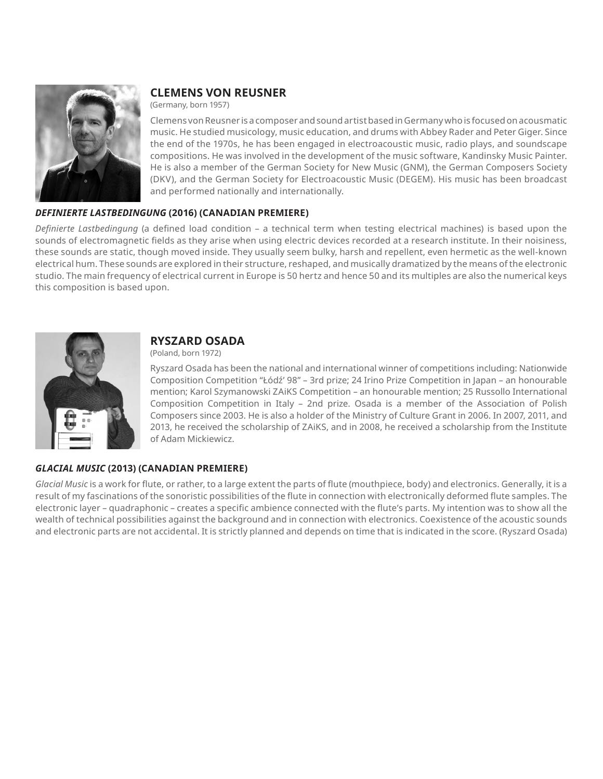

## **CLEMENS VON REUSNER**

(Germany, born 1957)

Clemens von Reusner is a composer and sound artist based in Germany who is focused on acousmatic music. He studied musicology, music education, and drums with Abbey Rader and Peter Giger. Since the end of the 1970s, he has been engaged in electroacoustic music, radio plays, and soundscape compositions. He was involved in the development of the music software, Kandinsky Music Painter. He is also a member of the German Society for New Music (GNM), the German Composers Society (DKV), and the German Society for Electroacoustic Music (DEGEM). His music has been broadcast and performed nationally and internationally.

#### *DEFINIERTE LASTBEDINGUNG* **(2016) (CANADIAN PREMIERE)**

*Definierte Lastbedingung* (a defined load condition – a technical term when testing electrical machines) is based upon the sounds of electromagnetic fields as they arise when using electric devices recorded at a research institute. In their noisiness, these sounds are static, though moved inside. They usually seem bulky, harsh and repellent, even hermetic as the well-known electrical hum. These sounds are explored in their structure, reshaped, and musically dramatized by the means of the electronic studio. The main frequency of electrical current in Europe is 50 hertz and hence 50 and its multiples are also the numerical keys this composition is based upon.



## **RYSZARD OSADA**

(Poland, born 1972)

Ryszard Osada has been the national and international winner of competitions including: Nationwide Composition Competition "Łódź' 98" – 3rd prize; 24 Irino Prize Competition in Japan – an honourable mention; Karol Szymanowski ZAiKS Competition – an honourable mention; 25 Russollo International Composition Competition in Italy – 2nd prize. Osada is a member of the Association of Polish Composers since 2003. He is also a holder of the Ministry of Culture Grant in 2006. In 2007, 2011, and 2013, he received the scholarship of ZAiKS, and in 2008, he received a scholarship from the Institute of Adam Mickiewicz.

### *GLACIAL MUSIC* **(2013) (CANADIAN PREMIERE)**

*Glacial Music* is a work for flute, or rather, to a large extent the parts of flute (mouthpiece, body) and electronics. Generally, it is a result of my fascinations of the sonoristic possibilities of the flute in connection with electronically deformed flute samples. The electronic layer – quadraphonic – creates a specific ambience connected with the flute's parts. My intention was to show all the wealth of technical possibilities against the background and in connection with electronics. Coexistence of the acoustic sounds and electronic parts are not accidental. It is strictly planned and depends on time that is indicated in the score. (Ryszard Osada)